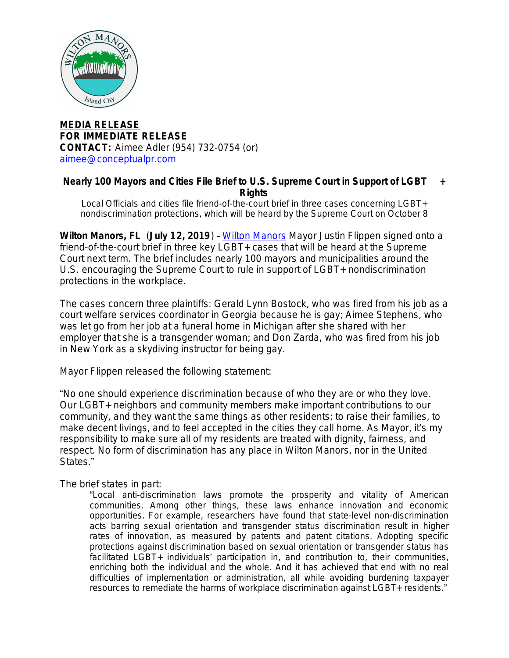

**MEDIA RELEASE FOR IMMEDIATE RELEASE CONTACT:** Aimee Adler (954) 732-0754 (or) [aimee@conceptualpr.com](mailto:aimee@conceptualpr.com)

## **Nearly 100 Mayors and Cities File Brief to U.S. Supreme Court in Support of LGBT + Rights**

*Local Officials and cities file friend-of-the-court brief in three cases concerning LGBT+ nondiscrimination protections, which will be heard by the Supreme Court on October 8*

**Wilton Manors, FL** (**July 12, 2019**) – [Wilton Manors](http://bit.ly/WiltonM) Mayor Justin Flippen signed onto a friend-of-the-court brief in three key LGBT+ cases that will be heard at the Supreme Court next term. The brief includes nearly 100 mayors and municipalities around the U.S. encouraging the Supreme Court to rule in support of LGBT+ nondiscrimination protections in the workplace.

The cases concern three plaintiffs: Gerald Lynn Bostock, who was fired from his job as a court welfare services coordinator in Georgia because he is gay; Aimee Stephens, who was let go from her job at a funeral home in Michigan after she shared with her employer that she is a transgender woman; and Don Zarda, who was fired from his job in New York as a skydiving instructor for being gay.

Mayor Flippen released the following statement:

"No one should experience discrimination because of who they are or who they love. Our LGBT+ neighbors and community members make important contributions to our community, and they want the same things as other residents: to raise their families, to make decent livings, and to feel accepted in the cities they call home. As Mayor, it's my responsibility to make sure all of my residents are treated with dignity, fairness, and respect. No form of discrimination has any place in Wilton Manors, nor in the United States."

The brief states in part:

"Local anti-discrimination laws promote the prosperity and vitality of American communities. Among other things, these laws enhance innovation and economic opportunities. For example, researchers have found that state-level non-discrimination acts barring sexual orientation and transgender status discrimination result in higher rates of innovation, as measured by patents and patent citations. Adopting specific protections against discrimination based on sexual orientation or transgender status has facilitated LGBT+ individuals' participation in, and contribution to, their communities, enriching both the individual and the whole. And it has achieved that end with no real difficulties of implementation or administration, all while avoiding burdening taxpayer resources to remediate the harms of workplace discrimination against LGBT+ residents."